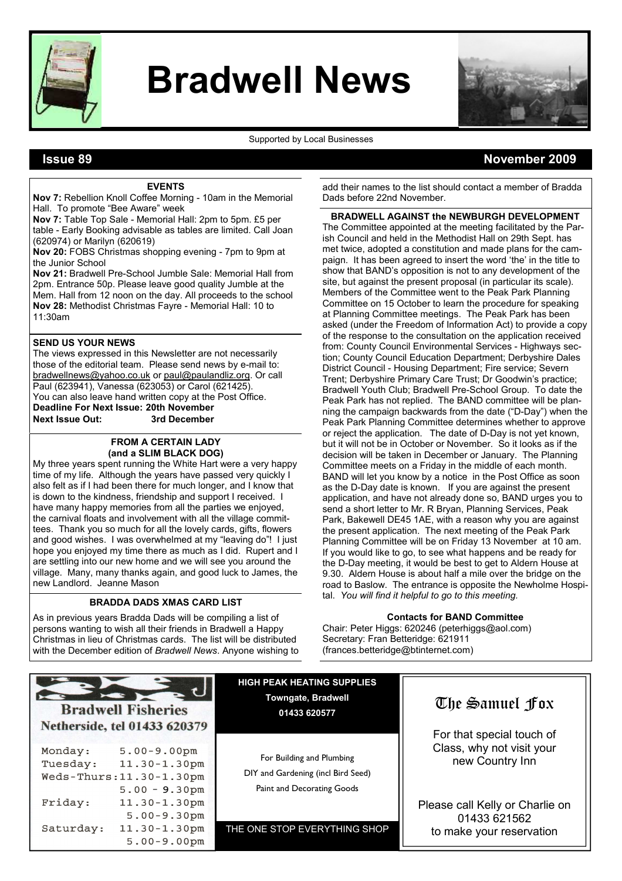

# Bradwell News



#### Supported by Local Businesses

# Issue 89 November 2009

#### EVENTS

Nov 7: Rebellion Knoll Coffee Morning - 10am in the Memorial Hall. To promote "Bee Aware" week

Nov 7: Table Top Sale - Memorial Hall: 2pm to 5pm. £5 per table - Early Booking advisable as tables are limited. Call Joan (620974) or Marilyn (620619)

Nov 20: FOBS Christmas shopping evening - 7pm to 9pm at the Junior School

Nov 21: Bradwell Pre-School Jumble Sale: Memorial Hall from 2pm. Entrance 50p. Please leave good quality Jumble at the Mem. Hall from 12 noon on the day. All proceeds to the school Nov 28: Methodist Christmas Fayre - Memorial Hall: 10 to 11:30am

### SEND US YOUR NEWS

The views expressed in this Newsletter are not necessarily those of the editorial team. Please send news by e-mail to: bradwellnews@yahoo.co.uk or paul@paulandliz.org. Or call Paul (623941), Vanessa (623053) or Carol (621425). You can also leave hand written copy at the Post Office. Deadline For Next Issue: 20th November Next Issue Out: 3rd December

#### FROM A CERTAIN LADY (and a SLIM BLACK DOG)

My three years spent running the White Hart were a very happy time of my life. Although the years have passed very quickly I also felt as if I had been there for much longer, and I know that is down to the kindness, friendship and support I received. I have many happy memories from all the parties we enjoyed, the carnival floats and involvement with all the village committees. Thank you so much for all the lovely cards, gifts, flowers and good wishes. I was overwhelmed at my "leaving do"! I just hope you enjoyed my time there as much as I did. Rupert and I are settling into our new home and we will see you around the village. Many, many thanks again, and good luck to James, the new Landlord. Jeanne Mason

## BRADDA DADS XMAS CARD LIST

As in previous years Bradda Dads will be compiling a list of persons wanting to wish all their friends in Bradwell a Happy Christmas in lieu of Christmas cards. The list will be distributed with the December edition of Bradwell News. Anyone wishing to

 $5.00 - 9.00$ pm

add their names to the list should contact a member of Bradda Dads before 22nd November.

#### BRADWELL AGAINST the NEWBURGH DEVELOPMENT

The Committee appointed at the meeting facilitated by the Parish Council and held in the Methodist Hall on 29th Sept. has met twice, adopted a constitution and made plans for the campaign. It has been agreed to insert the word 'the' in the title to show that BAND's opposition is not to any development of the site, but against the present proposal (in particular its scale). Members of the Committee went to the Peak Park Planning Committee on 15 October to learn the procedure for speaking at Planning Committee meetings. The Peak Park has been asked (under the Freedom of Information Act) to provide a copy of the response to the consultation on the application received from: County Council Environmental Services - Highways section; County Council Education Department; Derbyshire Dales District Council - Housing Department; Fire service; Severn Trent; Derbyshire Primary Care Trust; Dr Goodwin's practice; Bradwell Youth Club; Bradwell Pre-School Group. To date the Peak Park has not replied. The BAND committee will be planning the campaign backwards from the date ("D-Day") when the Peak Park Planning Committee determines whether to approve or reject the application. The date of D-Day is not yet known, but it will not be in October or November. So it looks as if the decision will be taken in December or January. The Planning Committee meets on a Friday in the middle of each month. BAND will let you know by a notice in the Post Office as soon as the D-Day date is known. If you are against the present application, and have not already done so, BAND urges you to send a short letter to Mr. R Bryan, Planning Services, Peak Park, Bakewell DE45 1AE, with a reason why you are against the present application. The next meeting of the Peak Park Planning Committee will be on Friday 13 November at 10 am. If you would like to go, to see what happens and be ready for the D-Day meeting, it would be best to get to Aldern House at 9.30. Aldern House is about half a mile over the bridge on the road to Baslow. The entrance is opposite the Newholme Hospital. You will find it helpful to go to this meeting.

#### Contacts for BAND Committee

Chair: Peter Higgs: 620246 (peterhiggs@aol.com) Secretary: Fran Betteridge: 621911 (frances.betteridge@btinternet.com)

|  | <b>Bradwell Fisheries</b> |  |
|--|---------------------------|--|

Netherside, tel 01433 620379 Monday:  $5.00 - 9.00$ pm  $11.30 - 1.30$ pm Tuesdav: Weds-Thurs: 11.30-1.30pm  $5.00 - 9.30$ pm Friday:  $11.30 - 1.30$ pm  $5.00 - 9.30$ pm Saturday: 11.30-1.30pm

HIGH PEAK HEATING SUPPLIES Towngate, Bradwell 01433 620577

For Building and Plumbing DIY and Gardening (incl Bird Seed) Paint and Decorating Goods

THE ONE STOP EVERYTHING SHOP

# The Samuel Fox

For that special touch of Class, why not visit your new Country Inn

Please call Kelly or Charlie on 01433 621562 to make your reservation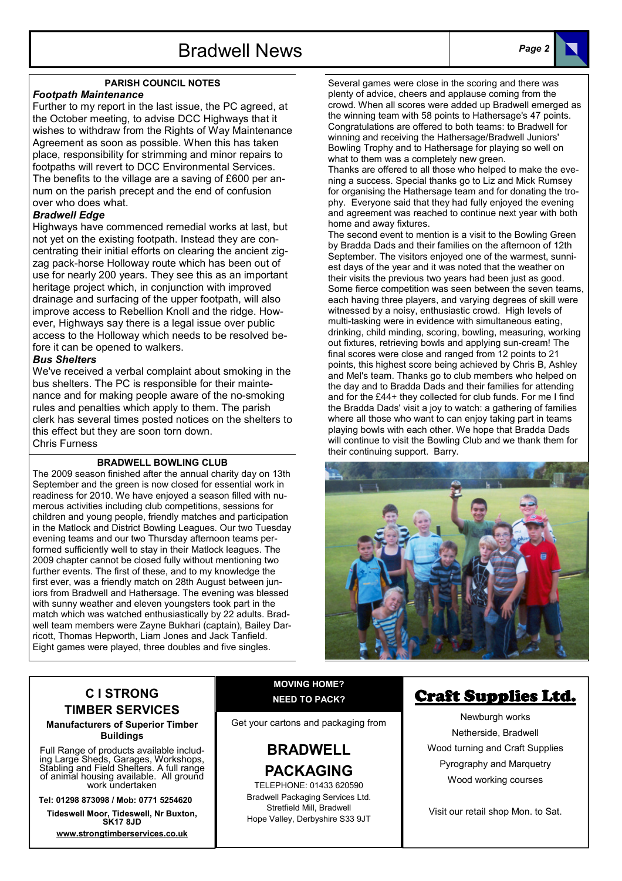# PARISH COUNCIL NOTES

## Footpath Maintenance

Further to my report in the last issue, the PC agreed, at the October meeting, to advise DCC Highways that it wishes to withdraw from the Rights of Way Maintenance Agreement as soon as possible. When this has taken place, responsibility for strimming and minor repairs to footpaths will revert to DCC Environmental Services. The benefits to the village are a saving of £600 per annum on the parish precept and the end of confusion over who does what.

# Bradwell Edge

Highways have commenced remedial works at last, but not yet on the existing footpath. Instead they are concentrating their initial efforts on clearing the ancient zigzag pack-horse Holloway route which has been out of use for nearly 200 years. They see this as an important heritage project which, in conjunction with improved drainage and surfacing of the upper footpath, will also improve access to Rebellion Knoll and the ridge. However, Highways say there is a legal issue over public access to the Holloway which needs to be resolved before it can be opened to walkers.

# Bus Shelters

We've received a verbal complaint about smoking in the bus shelters. The PC is responsible for their maintenance and for making people aware of the no-smoking rules and penalties which apply to them. The parish clerk has several times posted notices on the shelters to this effect but they are soon torn down. Chris Furness

## BRADWELL BOWLING CLUB

The 2009 season finished after the annual charity day on 13th September and the green is now closed for essential work in readiness for 2010. We have enjoyed a season filled with numerous activities including club competitions, sessions for children and young people, friendly matches and participation in the Matlock and District Bowling Leagues. Our two Tuesday evening teams and our two Thursday afternoon teams performed sufficiently well to stay in their Matlock leagues. The 2009 chapter cannot be closed fully without mentioning two further events. The first of these, and to my knowledge the first ever, was a friendly match on 28th August between juniors from Bradwell and Hathersage. The evening was blessed with sunny weather and eleven youngsters took part in the match which was watched enthusiastically by 22 adults. Bradwell team members were Zayne Bukhari (captain), Bailey Darricott, Thomas Hepworth, Liam Jones and Jack Tanfield. Eight games were played, three doubles and five singles.

Several games were close in the scoring and there was plenty of advice, cheers and applause coming from the crowd. When all scores were added up Bradwell emerged as the winning team with 58 points to Hathersage's 47 points. Congratulations are offered to both teams: to Bradwell for winning and receiving the Hathersage/Bradwell Juniors' Bowling Trophy and to Hathersage for playing so well on what to them was a completely new green.

Thanks are offered to all those who helped to make the evening a success. Special thanks go to Liz and Mick Rumsey for organising the Hathersage team and for donating the trophy. Everyone said that they had fully enjoyed the evening and agreement was reached to continue next year with both home and away fixtures.

The second event to mention is a visit to the Bowling Green by Bradda Dads and their families on the afternoon of 12th September. The visitors enjoyed one of the warmest, sunniest days of the year and it was noted that the weather on their visits the previous two years had been just as good. Some fierce competition was seen between the seven teams, each having three players, and varying degrees of skill were witnessed by a noisy, enthusiastic crowd. High levels of multi-tasking were in evidence with simultaneous eating, drinking, child minding, scoring, bowling, measuring, working out fixtures, retrieving bowls and applying sun-cream! The final scores were close and ranged from 12 points to 21 points, this highest score being achieved by Chris B, Ashley and Mel's team. Thanks go to club members who helped on the day and to Bradda Dads and their families for attending and for the £44+ they collected for club funds. For me I find the Bradda Dads' visit a joy to watch: a gathering of families where all those who want to can enjoy taking part in teams playing bowls with each other. We hope that Bradda Dads will continue to visit the Bowling Club and we thank them for their continuing support. Barry.



# C I STRONG TIMBER SERVICES

### Manufacturers of Superior Timber Buildings

Full Range of products available including Large Sheds, Garages, Workshops, Stabling and Field Shelters. A full range of animal housing available. All ground work undertaken

Tel: 01298 873098 / Mob: 0771 5254620

Tideswell Moor, Tideswell, Nr Buxton, SK17 8JD

www.strongtimberservices.co.uk

# MOVING HOME? NEED TO PACK?

Get your cartons and packaging from

# BRADWELL PACKAGING

TELEPHONE: 01433 620590 Bradwell Packaging Services Ltd. Stretfield Mill, Bradwell Hope Valley, Derbyshire S33 9JT

# Craft Supplies Ltd.

Newburgh works Netherside, Bradwell Wood turning and Craft Supplies Pyrography and Marquetry Wood working courses

Visit our retail shop Mon. to Sat.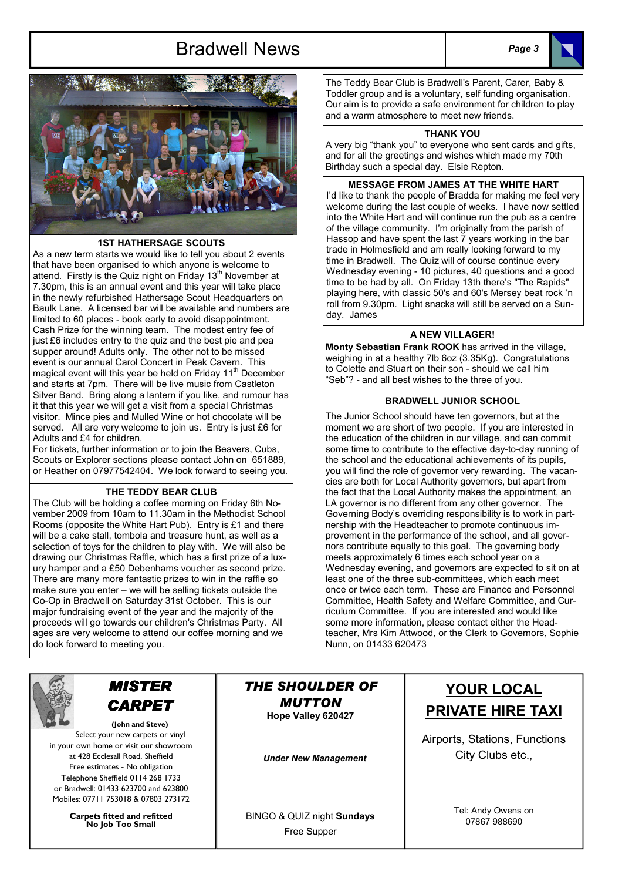# Bradwell News Page 3





### 1ST HATHERSAGE SCOUTS

As a new term starts we would like to tell you about 2 events that have been organised to which anyone is welcome to attend. Firstly is the Quiz night on Friday  $13<sup>th</sup>$  November at 7.30pm, this is an annual event and this year will take place in the newly refurbished Hathersage Scout Headquarters on Baulk Lane. A licensed bar will be available and numbers are limited to 60 places - book early to avoid disappointment. Cash Prize for the winning team. The modest entry fee of just £6 includes entry to the quiz and the best pie and pea supper around! Adults only. The other not to be missed event is our annual Carol Concert in Peak Cavern. This magical event will this year be held on Friday 11<sup>th</sup> December and starts at 7pm. There will be live music from Castleton Silver Band. Bring along a lantern if you like, and rumour has it that this year we will get a visit from a special Christmas visitor. Mince pies and Mulled Wine or hot chocolate will be served. All are very welcome to join us. Entry is just £6 for Adults and £4 for children.

For tickets, further information or to join the Beavers, Cubs, Scouts or Explorer sections please contact John on 651889, or Heather on 07977542404. We look forward to seeing you.

### THE TEDDY BEAR CLUB

The Club will be holding a coffee morning on Friday 6th November 2009 from 10am to 11.30am in the Methodist School Rooms (opposite the White Hart Pub). Entry is £1 and there will be a cake stall, tombola and treasure hunt, as well as a selection of toys for the children to play with. We will also be drawing our Christmas Raffle, which has a first prize of a luxury hamper and a £50 Debenhams voucher as second prize. There are many more fantastic prizes to win in the raffle so make sure you enter – we will be selling tickets outside the Co-Op in Bradwell on Saturday 31st October. This is our major fundraising event of the year and the majority of the proceeds will go towards our children's Christmas Party. All ages are very welcome to attend our coffee morning and we do look forward to meeting you.

The Teddy Bear Club is Bradwell's Parent, Carer, Baby & Toddler group and is a voluntary, self funding organisation. Our aim is to provide a safe environment for children to play and a warm atmosphere to meet new friends.

#### THANK YOU

A very big "thank you" to everyone who sent cards and gifts, and for all the greetings and wishes which made my 70th Birthday such a special day. Elsie Repton.

#### MESSAGE FROM JAMES AT THE WHITE HART

I'd like to thank the people of Bradda for making me feel very welcome during the last couple of weeks. I have now settled into the White Hart and will continue run the pub as a centre of the village community. I'm originally from the parish of Hassop and have spent the last 7 years working in the bar trade in Holmesfield and am really looking forward to my time in Bradwell. The Quiz will of course continue every Wednesday evening - 10 pictures, 40 questions and a good time to be had by all. On Friday 13th there's "The Rapids" playing here, with classic 50's and 60's Mersey beat rock 'n roll from 9.30pm. Light snacks will still be served on a Sunday. James

# A NEW VILLAGER!

Monty Sebastian Frank ROOK has arrived in the village, weighing in at a healthy 7lb 6oz (3.35Kg). Congratulations to Colette and Stuart on their son - should we call him "Seb"? - and all best wishes to the three of you.

### BRADWELL JUNIOR SCHOOL

The Junior School should have ten governors, but at the moment we are short of two people. If you are interested in the education of the children in our village, and can commit some time to contribute to the effective day-to-day running of the school and the educational achievements of its pupils, you will find the role of governor very rewarding. The vacancies are both for Local Authority governors, but apart from the fact that the Local Authority makes the appointment, an LA governor is no different from any other governor. The Governing Body's overriding responsibility is to work in partnership with the Headteacher to promote continuous improvement in the performance of the school, and all governors contribute equally to this goal. The governing body meets approximately 6 times each school year on a Wednesday evening, and governors are expected to sit on at least one of the three sub-committees, which each meet once or twice each term. These are Finance and Personnel Committee, Health Safety and Welfare Committee, and Curriculum Committee. If you are interested and would like some more information, please contact either the Headteacher, Mrs Kim Attwood, or the Clerk to Governors, Sophie Nunn, on 01433 620473



# MISTER **CARPET**

(John and Steve) Select your new carpets or vinyl in your own home or visit our showroom at 428 Ecclesall Road, Sheffield Free estimates - No obligation Telephone Sheffield 0114 268 1733 or Bradwell: 01433 623700 and 623800 Mobiles: 07711 753018 & 07803 273172

> Carpets fitted and refitted No Job Too Small

THE SHOULDER OF MUTTON Hope Valley 620427

Under New Management

BINGO & QUIZ night Sundays Free Supper

# YOUR LOCAL PRIVATE HIRE TAXI

Airports, Stations, Functions City Clubs etc.,



Tel: Andy Owens on 07867 988690